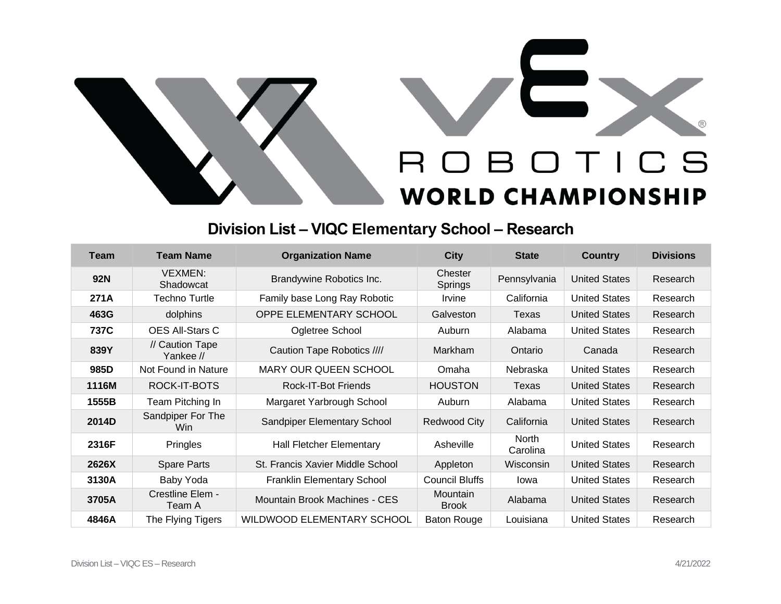

## **Division List – VIQC Elementary School – Research**

| <b>Team</b> | <b>Team Name</b>                | <b>Organization Name</b>          | <b>City</b>                     | <b>State</b>             | <b>Country</b>       | <b>Divisions</b> |
|-------------|---------------------------------|-----------------------------------|---------------------------------|--------------------------|----------------------|------------------|
| <b>92N</b>  | <b>VEXMEN:</b><br>Shadowcat     | Brandywine Robotics Inc.          | Chester<br>Springs              | Pennsylvania             | <b>United States</b> | Research         |
| 271A        | <b>Techno Turtle</b>            | Family base Long Ray Robotic      | Irvine                          | California               | <b>United States</b> | Research         |
| 463G        | dolphins                        | <b>OPPE ELEMENTARY SCHOOL</b>     | Galveston                       | Texas                    | <b>United States</b> | Research         |
| 737C        | <b>OES All-Stars C</b>          | Ogletree School                   | Auburn                          | Alabama                  | <b>United States</b> | Research         |
| 839Y        | // Caution Tape<br>Yankee //    | Caution Tape Robotics ////        | Markham                         | Ontario                  | Canada               | Research         |
| 985D        | Not Found in Nature             | <b>MARY OUR QUEEN SCHOOL</b>      | Omaha                           | Nebraska                 | <b>United States</b> | Research         |
| 1116M       | ROCK-IT-BOTS                    | <b>Rock-IT-Bot Friends</b>        | <b>HOUSTON</b>                  | Texas                    | <b>United States</b> | Research         |
| 1555B       | Team Pitching In                | Margaret Yarbrough School         | Auburn                          | Alabama                  | <b>United States</b> | Research         |
| 2014D       | Sandpiper For The<br><b>Win</b> | Sandpiper Elementary School       | Redwood City                    | California               | <b>United States</b> | Research         |
| 2316F       | <b>Pringles</b>                 | <b>Hall Fletcher Elementary</b>   | Asheville                       | <b>North</b><br>Carolina | <b>United States</b> | Research         |
| 2626X       | Spare Parts                     | St. Francis Xavier Middle School  | Appleton                        | Wisconsin                | <b>United States</b> | Research         |
| 3130A       | Baby Yoda                       | <b>Franklin Elementary School</b> | <b>Council Bluffs</b>           | lowa                     | <b>United States</b> | Research         |
| 3705A       | Crestline Elem -<br>Team A      | Mountain Brook Machines - CES     | <b>Mountain</b><br><b>Brook</b> | Alabama                  | <b>United States</b> | Research         |
| 4846A       | The Flying Tigers               | <b>WILDWOOD ELEMENTARY SCHOOL</b> | <b>Baton Rouge</b>              | Louisiana                | <b>United States</b> | Research         |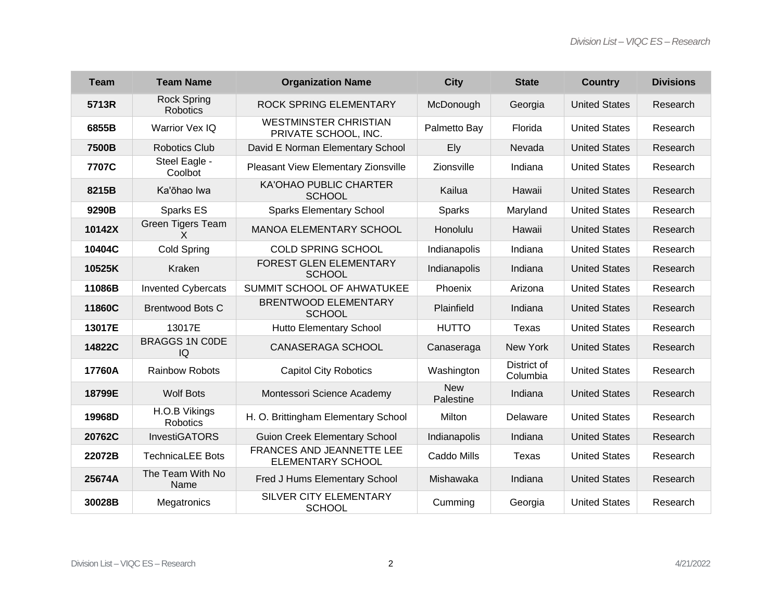| <b>Team</b> | <b>Team Name</b>               | <b>Organization Name</b>                             | <b>City</b>             | <b>State</b>            | <b>Country</b>       | <b>Divisions</b> |
|-------------|--------------------------------|------------------------------------------------------|-------------------------|-------------------------|----------------------|------------------|
| 5713R       | <b>Rock Spring</b><br>Robotics | ROCK SPRING ELEMENTARY                               | McDonough               | Georgia                 | <b>United States</b> | Research         |
| 6855B       | Warrior Vex IQ                 | <b>WESTMINSTER CHRISTIAN</b><br>PRIVATE SCHOOL, INC. | Palmetto Bay            | Florida                 | <b>United States</b> | Research         |
| 7500B       | <b>Robotics Club</b>           | David E Norman Elementary School                     | Ely                     | Nevada                  | <b>United States</b> | Research         |
| 7707C       | Steel Eagle -<br>Coolbot       | Pleasant View Elementary Zionsville                  | Zionsville              | Indiana                 | <b>United States</b> | Research         |
| 8215B       | Ka'ōhao lwa                    | <b>KA'OHAO PUBLIC CHARTER</b><br><b>SCHOOL</b>       | Kailua                  | Hawaii                  | <b>United States</b> | Research         |
| 9290B       | Sparks ES                      | <b>Sparks Elementary School</b>                      | Sparks                  | Maryland                | <b>United States</b> | Research         |
| 10142X      | Green Tigers Team<br>X         | <b>MANOA ELEMENTARY SCHOOL</b>                       | Honolulu                | Hawaii                  | <b>United States</b> | Research         |
| 10404C      | <b>Cold Spring</b>             | <b>COLD SPRING SCHOOL</b>                            | Indianapolis            | Indiana                 | <b>United States</b> | Research         |
| 10525K      | Kraken                         | <b>FOREST GLEN ELEMENTARY</b><br><b>SCHOOL</b>       | Indianapolis            | Indiana                 | <b>United States</b> | Research         |
| 11086B      | <b>Invented Cybercats</b>      | SUMMIT SCHOOL OF AHWATUKEE                           | Phoenix                 | Arizona                 | <b>United States</b> | Research         |
| 11860C      | <b>Brentwood Bots C</b>        | <b>BRENTWOOD ELEMENTARY</b><br><b>SCHOOL</b>         | Plainfield              | Indiana                 | <b>United States</b> | Research         |
| 13017E      | 13017E                         | <b>Hutto Elementary School</b>                       | <b>HUTTO</b>            | Texas                   | <b>United States</b> | Research         |
| 14822C      | <b>BRAGGS 1N CODE</b><br>IQ    | <b>CANASERAGA SCHOOL</b>                             | Canaseraga              | New York                | <b>United States</b> | Research         |
| 17760A      | <b>Rainbow Robots</b>          | <b>Capitol City Robotics</b>                         | Washington              | District of<br>Columbia | <b>United States</b> | Research         |
| 18799E      | <b>Wolf Bots</b>               | Montessori Science Academy                           | <b>New</b><br>Palestine | Indiana                 | <b>United States</b> | Research         |
| 19968D      | H.O.B Vikings<br>Robotics      | H. O. Brittingham Elementary School                  | Milton                  | Delaware                | <b>United States</b> | Research         |
| 20762C      | <b>InvestiGATORS</b>           | <b>Guion Creek Elementary School</b>                 | Indianapolis            | Indiana                 | <b>United States</b> | Research         |
| 22072B      | <b>TechnicaLEE Bots</b>        | FRANCES AND JEANNETTE LEE<br>ELEMENTARY SCHOOL       | Caddo Mills             | Texas                   | <b>United States</b> | Research         |
| 25674A      | The Team With No<br>Name       | Fred J Hums Elementary School                        | Mishawaka               | Indiana                 | <b>United States</b> | Research         |
| 30028B      | Megatronics                    | SILVER CITY ELEMENTARY<br><b>SCHOOL</b>              | Cumming                 | Georgia                 | <b>United States</b> | Research         |